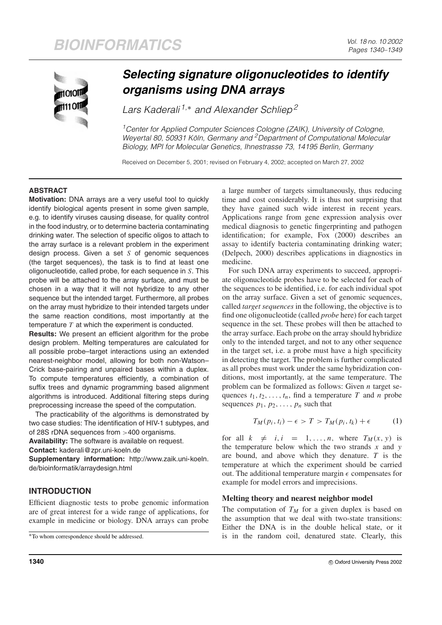

# *Selecting signature oligonucleotides to identify organisms using DNA arrays*

*Lars Kaderali 1,*<sup>∗</sup> *and Alexander Schliep<sup>2</sup>*

*1Center for Applied Computer Sciences Cologne (ZAIK), University of Cologne, Weyertal 80, 50931 Koln, Germany and ¨ 2Department of Computational Molecular Biology, MPI for Molecular Genetics, Ihnestrasse 73, 14195 Berlin, Germany*

Received on December 5, 2001; revised on February 4, 2002; accepted on March 27, 2002

# **ABSTRACT**

**Motivation:** DNA arrays are a very useful tool to quickly identify biological agents present in some given sample, e.g. to identify viruses causing disease, for quality control in the food industry, or to determine bacteria contaminating drinking water. The selection of specific oligos to attach to the array surface is a relevant problem in the experiment design process. Given a set *S* of genomic sequences (the target sequences), the task is to find at least one oligonucleotide, called probe, for each sequence in *S*. This probe will be attached to the array surface, and must be chosen in a way that it will not hybridize to any other sequence but the intended target. Furthermore, all probes on the array must hybridize to their intended targets under the same reaction conditions, most importantly at the temperature *T* at which the experiment is conducted.

**Results:** We present an efficient algorithm for the probe design problem. Melting temperatures are calculated for all possible probe–target interactions using an extended nearest-neighbor model, allowing for both non-Watson– Crick base-pairing and unpaired bases within a duplex. To compute temperatures efficiently, a combination of suffix trees and dynamic programming based alignment algorithms is introduced. Additional filtering steps during preprocessing increase the speed of the computation.

The practicability of the algorithms is demonstrated by two case studies: The identification of HIV-1 subtypes, and of 28S rDNA sequences from >400 organisms.

**Availability:** The software is available on request.

**Contact:** kaderali@zpr.uni-koeln.de

**Supplementary information:** http://www.zaik.uni-koeln. de/bioinformatik/arraydesign.html

# **INTRODUCTION**

Efficient diagnostic tests to probe genomic information are of great interest for a wide range of applications, for example in medicine or biology. DNA arrays can probe

a large number of targets simultaneously, thus reducing time and cost considerably. It is thus not surprising that they have gained such wide interest in recent years. Applications range from gene expression analysis over medical diagnosis to genetic fingerprinting and pathogen identification; for example, Fox (2000) describes an assay to identify bacteria contaminating drinking water; (Delpech, 2000) describes applications in diagnostics in medicine.

For such DNA array experiments to succeed, appropriate oligonucleotide probes have to be selected for each of the sequences to be identified, i.e. for each individual spot on the array surface. Given a set of genomic sequences, called *target sequences* in the following, the objective is to find one oligonucleotide (called *probe* here) for each target sequence in the set. These probes will then be attached to the array surface. Each probe on the array should hybridize only to the intended target, and not to any other sequence in the target set, i.e. a probe must have a high specificity in detecting the target. The problem is further complicated as all probes must work under the same hybridization conditions, most importantly, at the same temperature. The problem can be formalized as follows: Given *n* target sequences  $t_1, t_2, \ldots, t_n$ , find a temperature *T* and *n* probe sequences  $p_1, p_2, \ldots, p_n$  such that

$$
T_M(p_i, t_i) - \epsilon > T > T_M(p_i, t_k) + \epsilon \tag{1}
$$

for all  $k \neq i, i = 1, ..., n$ , where  $T_M(x, y)$  is the temperature below which the two strands  $x$  and  $y$ are bound, and above which they denature. *T* is the temperature at which the experiment should be carried out. The additional temperature margin  $\epsilon$  compensates for example for model errors and imprecisions.

## **Melting theory and nearest neighbor model**

The computation of  $T_M$  for a given duplex is based on the assumption that we deal with two-state transitions: Either the DNA is in the double helical state, or it is in the random coil, denatured state. Clearly, this

<sup>∗</sup>To whom correspondence should be addressed.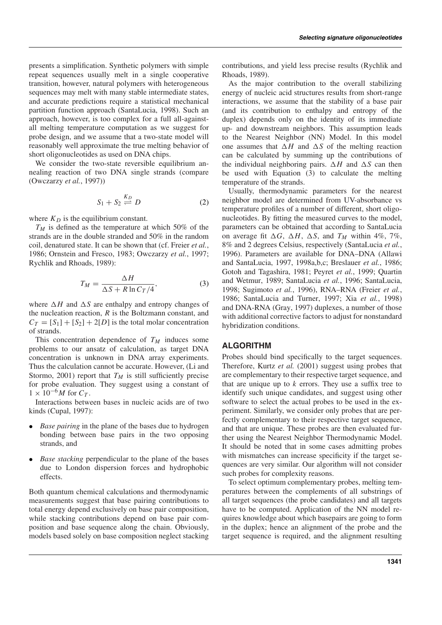presents a simplification. Synthetic polymers with simple repeat sequences usually melt in a single cooperative transition, however, natural polymers with heterogeneous sequences may melt with many stable intermediate states, and accurate predictions require a statistical mechanical partition function approach (SantaLucia, 1998). Such an approach, however, is too complex for a full all-againstall melting temperature computation as we suggest for probe design, and we assume that a two-state model will reasonably well approximate the true melting behavior of short oligonucleotides as used on DNA chips.

We consider the two-state reversible equilibrium annealing reaction of two DNA single strands (compare (Owczarzy *et al.*, 1997))

$$
S_1 + S_2 \stackrel{K_D}{\rightleftharpoons} D \tag{2}
$$

where  $K_D$  is the equilibrium constant.

 $T_M$  is defined as the temperature at which 50% of the strands are in the double stranded and 50% in the random coil, denatured state. It can be shown that (cf. Freier *et al.*, 1986; Ornstein and Fresco, 1983; Owczarzy *et al.*, 1997; Rychlik and Rhoads, 1989):

$$
T_M = \frac{\Delta H}{\Delta S + R \ln C_T/4},\tag{3}
$$

where  $\Delta H$  and  $\Delta S$  are enthalpy and entropy changes of the nucleation reaction, *R* is the Boltzmann constant, and  $C_T = [S_1] + [S_2] + 2[D]$  is the total molar concentration of strands.

This concentration dependence of  $T_M$  induces some problems to our ansatz of calculation, as target DNA concentration is unknown in DNA array experiments. Thus the calculation cannot be accurate. However, (Li and Stormo, 2001) report that  $T_M$  is still sufficiently precise for probe evaluation. They suggest using a constant of  $1 \times 10^{-6} M$  for  $C_T$ .

Interactions between bases in nucleic acids are of two kinds (Cupal, 1997):

- *Base pairing* in the plane of the bases due to hydrogen bonding between base pairs in the two opposing strands, and
- *Base stacking* perpendicular to the plane of the bases due to London dispersion forces and hydrophobic effects.

Both quantum chemical calculations and thermodynamic measurements suggest that base pairing contributions to total energy depend exclusively on base pair composition, while stacking contributions depend on base pair composition and base sequence along the chain. Obviously, models based solely on base composition neglect stacking contributions, and yield less precise results (Rychlik and Rhoads, 1989).

As the major contribution to the overall stabilizing energy of nucleic acid structures results from short-range interactions, we assume that the stability of a base pair (and its contribution to enthalpy and entropy of the duplex) depends only on the identity of its immediate up- and downstream neighbors. This assumption leads to the Nearest Neighbor (NN) Model. In this model one assumes that  $\Delta H$  and  $\Delta S$  of the melting reaction can be calculated by summing up the contributions of the individual neighboring pairs.  $\Delta H$  and  $\Delta S$  can then be used with Equation (3) to calculate the melting temperature of the strands.

Usually, thermodynamic parameters for the nearest neighbor model are determined from UV-absorbance vs temperature profiles of a number of different, short oligonucleotides. By fitting the measured curves to the model, parameters can be obtained that according to SantaLucia on average fit  $\Delta G$ ,  $\Delta H$ ,  $\Delta S$ , and  $T_M$  within 4%, 7%, 8% and 2 degrees Celsius, respectively (SantaLucia *et al.*, 1996). Parameters are available for DNA–DNA (Allawi and SantaLucia, 1997, 1998a,b,c; Breslauer *et al.*, 1986; Gotoh and Tagashira, 1981; Peyret *et al.*, 1999; Quartin and Wetmur, 1989; SantaLucia *et al.*, 1996; SantaLucia, 1998; Sugimoto *et al.*, 1996), RNA–RNA (Freier *et al.*, 1986; SantaLucia and Turner, 1997; Xia *et al.*, 1998) and DNA-RNA (Gray, 1997) duplexes, a number of those with additional corrective factors to adjust for nonstandard hybridization conditions.

### **ALGORITHM**

Probes should bind specifically to the target sequences. Therefore, Kurtz *et al.* (2001) suggest using probes that are complementary to their respective target sequence, and that are unique up to  $k$  errors. They use a suffix tree to identify such unique candidates, and suggest using other software to select the actual probes to be used in the experiment. Similarly, we consider only probes that are perfectly complementary to their respective target sequence, and that are unique. These probes are then evaluated further using the Nearest Neighbor Thermodynamic Model. It should be noted that in some cases admitting probes with mismatches can increase specificity if the target sequences are very similar. Our algorithm will not consider such probes for complexity reasons.

To select optimum complementary probes, melting temperatures between the complements of all substrings of all target sequences (the probe candidates) and all targets have to be computed. Application of the NN model requires knowledge about which basepairs are going to form in the duplex; hence an alignment of the probe and the target sequence is required, and the alignment resulting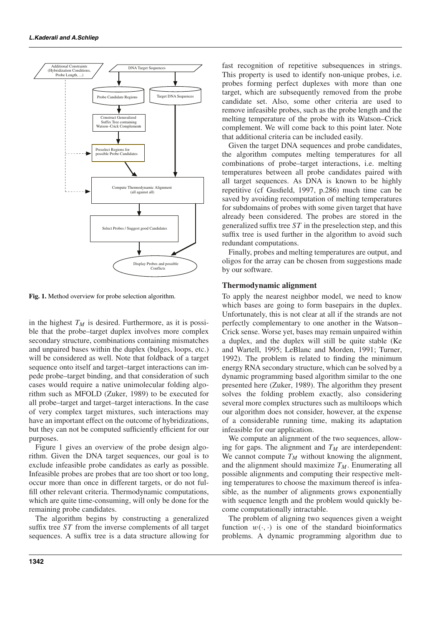

**Fig. 1.** Method overview for probe selection algorithm.

in the highest  $T_M$  is desired. Furthermore, as it is possible that the probe–target duplex involves more complex secondary structure, combinations containing mismatches and unpaired bases within the duplex (bulges, loops, etc.) will be considered as well. Note that foldback of a target sequence onto itself and target–target interactions can impede probe–target binding, and that consideration of such cases would require a native unimolecular folding algorithm such as MFOLD (Zuker, 1989) to be executed for all probe–target and target–target interactions. In the case of very complex target mixtures, such interactions may have an important effect on the outcome of hybridizations, but they can not be computed sufficiently efficient for our purposes.

Figure 1 gives an overview of the probe design algorithm. Given the DNA target sequences, our goal is to exclude infeasible probe candidates as early as possible. Infeasible probes are probes that are too short or too long, occur more than once in different targets, or do not fulfill other relevant criteria. Thermodynamic computations, which are quite time-consuming, will only be done for the remaining probe candidates.

The algorithm begins by constructing a generalized suffix tree *ST* from the inverse complements of all target sequences. A suffix tree is a data structure allowing for fast recognition of repetitive subsequences in strings. This property is used to identify non-unique probes, i.e. probes forming perfect duplexes with more than one target, which are subsequently removed from the probe candidate set. Also, some other criteria are used to remove infeasible probes, such as the probe length and the melting temperature of the probe with its Watson–Crick complement. We will come back to this point later. Note that additional criteria can be included easily.

Given the target DNA sequences and probe candidates, the algorithm computes melting temperatures for all combinations of probe–target interactions, i.e. melting temperatures between all probe candidates paired with all target sequences. As DNA is known to be highly repetitive (cf Gusfield, 1997, p.286) much time can be saved by avoiding recomputation of melting temperatures for subdomains of probes with some given target that have already been considered. The probes are stored in the generalized suffix tree *ST* in the preselection step, and this suffix tree is used further in the algorithm to avoid such redundant computations.

Finally, probes and melting temperatures are output, and oligos for the array can be chosen from suggestions made by our software.

### **Thermodynamic alignment**

To apply the nearest neighbor model, we need to know which bases are going to form basepairs in the duplex. Unfortunately, this is not clear at all if the strands are not perfectly complementary to one another in the Watson– Crick sense. Worse yet, bases may remain unpaired within a duplex, and the duplex will still be quite stable (Ke and Wartell, 1995; LeBlanc and Morden, 1991; Turner, 1992). The problem is related to finding the minimum energy RNA secondary structure, which can be solved by a dynamic programming based algorithm similar to the one presented here (Zuker, 1989). The algorithm they present solves the folding problem exactly, also considering several more complex structures such as multiloops which our algorithm does not consider, however, at the expense of a considerable running time, making its adaptation infeasible for our application.

We compute an alignment of the two sequences, allowing for gaps. The alignment and  $T_M$  are interdependent: We cannot compute  $T_M$  without knowing the alignment, and the alignment should maximize  $T_M$ . Enumerating all possible alignments and computing their respective melting temperatures to choose the maximum thereof is infeasible, as the number of alignments grows exponentially with sequence length and the problem would quickly become computationally intractable.

The problem of aligning two sequences given a weight function  $w(\cdot, \cdot)$  is one of the standard bioinformatics problems. A dynamic programming algorithm due to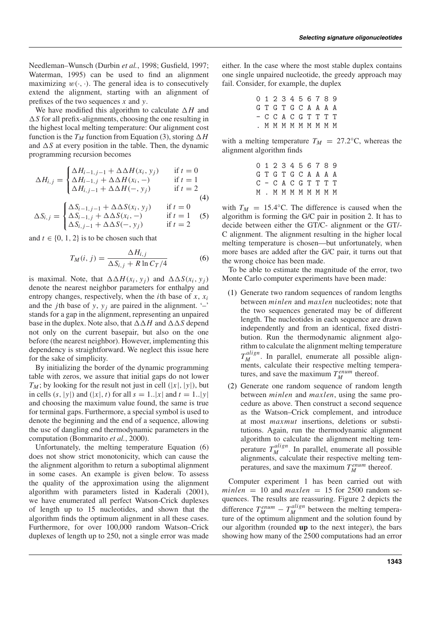Needleman–Wunsch (Durbin *et al.*, 1998; Gusfield, 1997; Waterman, 1995) can be used to find an alignment maximizing  $w(\cdot, \cdot)$ . The general idea is to consecutively extend the alignment, starting with an alignment of prefixes of the two sequences *x* and *y*.

We have modified this algorithm to calculate  $\Delta H$  and  $\Delta S$  for all prefix-alignments, choosing the one resulting in the highest local melting temperature: Our alignment cost function is the  $T_M$  function from Equation (3), storing  $\Delta H$ and  $\Delta S$  at every position in the table. Then, the dynamic programming recursion becomes

$$
\Delta H_{i,j} = \begin{cases}\n\Delta H_{i-1,j-1} + \Delta \Delta H(x_i, y_j) & \text{if } t = 0 \\
\Delta H_{i-1,j} + \Delta \Delta H(x_i, -) & \text{if } t = 1 \\
\Delta H_{i,j-1} + \Delta \Delta H(-, y_j) & \text{if } t = 2\n\end{cases}
$$
\n(4)

$$
\Delta S_{i,j} = \begin{cases}\n\Delta S_{i-1,j-1} + \Delta \Delta S(x_i, y_j) & \text{if } t = 0 \\
\Delta S_{i-1,j} + \Delta \Delta S(x_i, -) & \text{if } t = 1 \\
\Delta S_{i,j-1} + \Delta \Delta S(-, y_j) & \text{if } t = 2\n\end{cases}
$$
\n(5)

and  $t \in \{0, 1, 2\}$  is to be chosen such that

$$
T_M(i, j) = \frac{\Delta H_{i,j}}{\Delta S_{i,j} + R \ln C_T/4}
$$
 (6)

is maximal. Note, that  $\Delta \Delta H(x_i, y_i)$  and  $\Delta \Delta S(x_i, y_i)$ denote the nearest neighbor parameters for enthalpy and entropy changes, respectively, when the *i*th base of *x*, *xi* and the *j*th base of *y*,  $y_i$  are paired in the alignment.  $\frac{y_i - y_j}{x_i}$ stands for a gap in the alignment, representing an unpaired base in the duplex. Note also, that  $\Delta \Delta H$  and  $\Delta \Delta S$  depend not only on the current basepair, but also on the one before (the nearest neighbor). However, implementing this dependency is straightforward. We neglect this issue here for the sake of simplicity.

By initializing the border of the dynamic programming table with zeros, we assure that initial gaps do not lower  $T_M$ ; by looking for the result not just in cell  $(|x|, |y|)$ , but in cells  $(s, |y|)$  and  $(|x|, t)$  for all  $s = 1..|x|$  and  $t = 1..|y|$ and choosing the maximum value found, the same is true for terminal gaps. Furthermore, a special symbol is used to denote the beginning and the end of a sequence, allowing the use of dangling end thermodynamic parameters in the computation (Bommarito *et al.*, 2000).

Unfortunately, the melting temperature Equation (6) does not show strict monotonicity, which can cause the the alignment algorithm to return a suboptimal alignment in some cases. An example is given below. To assess the quality of the approximation using the alignment algorithm with parameters listed in Kaderali (2001), we have enumerated all perfect Watson-Crick duplexes of length up to 15 nucleotides, and shown that the algorithm finds the optimum alignment in all these cases. Furthermore, for over 100,000 random Watson–Crick duplexes of length up to 250, not a single error was made

either. In the case where the most stable duplex contains one single unpaired nucleotide, the greedy approach may fail. Consider, for example, the duplex

$$
\begin{array}{cccccccc} 0 & 1 & 2 & 3 & 4 & 5 & 6 & 7 & 8 & 9 \\ \text{G} & \text{T} & \text{G} & \text{T} & \text{G} & \text{C} & \text{A} & \text{A} & \text{A} & \text{A} \\ - & \text{C} & \text{C} & \text{A} & \text{C} & \text{G} & \text{T} & \text{T} & \text{T} & \text{T} \\ . & M & M & M & M & M & M & M & M \end{array}
$$

with a melting temperature  $T_M = 27.2$ <sup>o</sup>C, whereas the alignment algorithm finds

|  | 0123456789            |  |  |  |  |
|--|-----------------------|--|--|--|--|
|  | G T G T G C A A A A   |  |  |  |  |
|  | $C - C A C G T T T T$ |  |  |  |  |
|  | M. MMMMMMMM           |  |  |  |  |

with  $T_M = 15.4$ °C. The difference is caused when the algorithm is forming the G/C pair in position 2. It has to decide between either the GT/C- alignment or the GT/- C alignment. The alignment resulting in the higher local melting temperature is chosen—but unfortunately, when more bases are added after the G/C pair, it turns out that the wrong choice has been made.

To be able to estimate the magnitude of the error, two Monte Carlo computer experiments have been made:

- (1) Generate two random sequences of random lengths between *minlen* and *maxlen* nucleotides; note that the two sequences generated may be of different length. The nucleotides in each sequence are drawn independently and from an identical, fixed distribution. Run the thermodynamic alignment algorithm to calculate the alignment melting temperature  $T_M^{align}$ . In parallel, enumerate all possible alignments, calculate their respective melting temperatures, and save the maximum  $T_M^{enum}$  thereof.
- (2) Generate one random sequence of random length between *minlen* and *maxlen*, using the same procedure as above. Then construct a second sequence as the Watson–Crick complement, and introduce at most *maxmut* insertions, deletions or substitutions. Again, run the thermodynamic alignment algorithm to calculate the alignment melting temperature  $T_M^{align}$ . In parallel, enumerate all possible alignments, calculate their respective melting temperatures, and save the maximum  $T_M^{enum}$  thereof.

Computer experiment 1 has been carried out with  $minlen = 10$  and  $maxlen = 15$  for 2500 random sequences. The results are reassuring. Figure 2 depicts the difference  $T_M^{enum} - T_M^{align}$  between the melting temperature of the optimum alignment and the solution found by our algorithm (rounded **up** to the next integer), the bars showing how many of the 2500 computations had an error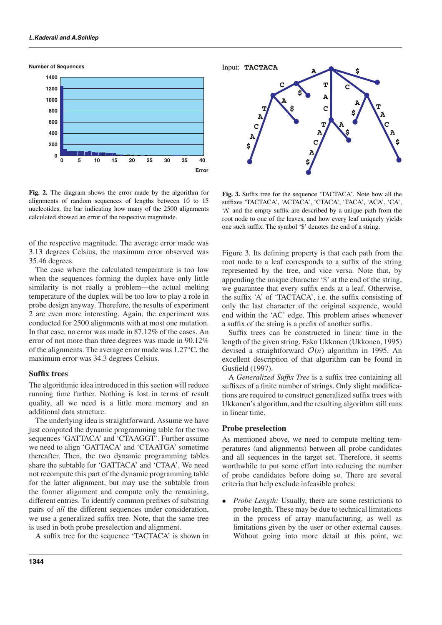**Number of Sequences**



**Fig. 2.** The diagram shows the error made by the algorithm for alignments of random sequences of lengths between 10 to 15 nucleotides, the bar indicating how many of the 2500 alignments calculated showed an error of the respective magnitude.

of the respective magnitude. The average error made was 3.13 degrees Celsius, the maximum error observed was 35.46 degrees.

The case where the calculated temperature is too low when the sequences forming the duplex have only little similarity is not really a problem—the actual melting temperature of the duplex will be too low to play a role in probe design anyway. Therefore, the results of experiment 2 are even more interesting. Again, the experiment was conducted for 2500 alignments with at most one mutation. In that case, no error was made in 87.12% of the cases. An error of not more than three degrees was made in 90.12% of the alignments. The average error made was 1.27◦C, the maximum error was 34.3 degrees Celsius.

#### **Suffix trees**

The algorithmic idea introduced in this section will reduce running time further. Nothing is lost in terms of result quality, all we need is a little more memory and an additional data structure.

The underlying idea is straightforward. Assume we have just computed the dynamic programming table for the two sequences 'GATTACA' and 'CTAAGGT'. Further assume we need to align 'GATTACA' and 'CTAATGA' sometime thereafter. Then, the two dynamic programming tables share the subtable for 'GATTACA' and 'CTAA'. We need not recompute this part of the dynamic programming table for the latter alignment, but may use the subtable from the former alignment and compute only the remaining, different entries. To identify common prefixes of substring pairs of *all* the different sequences under consideration, we use a generalized suffix tree. Note, that the same tree is used in both probe preselection and alignment.

A suffix tree for the sequence 'TACTACA' is shown in



**Fig. 3.** Suffix tree for the sequence 'TACTACA'. Note how all the suffixes 'TACTACA', 'ACTACA', 'CTACA', 'TACA', 'ACA', 'CA', 'A' and the empty suffix are described by a unique path from the root node to one of the leaves, and how every leaf uniquely yields one such suffix. The symbol '\$' denotes the end of a string.

Figure 3. Its defining property is that each path from the root node to a leaf corresponds to a suffix of the string represented by the tree, and vice versa. Note that, by appending the unique character '\$' at the end of the string, we guarantee that every suffix ends at a leaf. Otherwise, the suffix 'A' of 'TACTACA', i.e. the suffix consisting of only the last character of the original sequence, would end within the 'AC' edge. This problem arises whenever a suffix of the string is a prefix of another suffix.

Suffix trees can be constructed in linear time in the length of the given string. Esko Ukkonen (Ukkonen, 1995) devised a straightforward  $\mathcal{O}(n)$  algorithm in 1995. An excellent description of that algorithm can be found in Gusfield (1997).

A *Generalized Suffix Tree* is a suffix tree containing all suffixes of a finite number of strings. Only slight modifications are required to construct generalized suffix trees with Ukkonen's algorithm, and the resulting algorithm still runs in linear time.

#### **Probe preselection**

As mentioned above, we need to compute melting temperatures (and alignments) between all probe candidates and all sequences in the target set. Therefore, it seems worthwhile to put some effort into reducing the number of probe candidates before doing so. There are several criteria that help exclude infeasible probes:

• *Probe Length:* Usually, there are some restrictions to probe length. These may be due to technical limitations in the process of array manufacturing, as well as limitations given by the user or other external causes. Without going into more detail at this point, we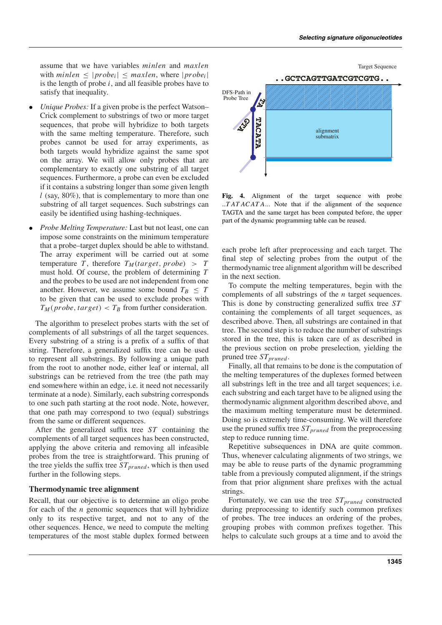Target Sequence

assume that we have variables *minlen* and *maxlen* with  $\textit{minlen} \leq |\textit{probe}_i| \leq \textit{maxlen}$ , where  $|\textit{probe}_i|$ is the length of probe *i*, and all feasible probes have to satisfy that inequality.

- *Unique Probes:* If a given probe is the perfect Watson– Crick complement to substrings of two or more target sequences, that probe will hybridize to both targets with the same melting temperature. Therefore, such probes cannot be used for array experiments, as both targets would hybridize against the same spot on the array. We will allow only probes that are complementary to exactly one substring of all target sequences. Furthermore, a probe can even be excluded if it contains a substring longer than some given length *l* (say, 80%), that is complementary to more than one substring of all target sequences. Such substrings can easily be identified using hashing-techniques.
- *Probe Melting Temperature:* Last but not least, one can impose some constraints on the minimum temperature that a probe–target duplex should be able to withstand. The array experiment will be carried out at some temperature *T*, therefore  $T_M(target, probe) > T$ must hold. Of course, the problem of determining *T* and the probes to be used are not independent from one another. However, we assume some bound  $T_B \leq T$ to be given that can be used to exclude probes with  $T_M$  (*probe*, *target*) <  $T_B$  from further consideration.

The algorithm to preselect probes starts with the set of complements of all substrings of all the target sequences. Every substring of a string is a prefix of a suffix of that string. Therefore, a generalized suffix tree can be used to represent all substrings. By following a unique path from the root to another node, either leaf or internal, all substrings can be retrieved from the tree (the path may end somewhere within an edge, i.e. it need not necessarily terminate at a node). Similarly, each substring corresponds to one such path starting at the root node. Note, however, that one path may correspond to two (equal) substrings from the same or different sequences.

After the generalized suffix tree *ST* containing the complements of all target sequences has been constructed, applying the above criteria and removing all infeasible probes from the tree is straightforward. This pruning of the tree yields the suffix tree  $ST_{pruned}$ , which is then used further in the following steps.

#### **Thermodynamic tree alignment**

Recall, that our objective is to determine an oligo probe for each of the *n* genomic sequences that will hybridize only to its respective target, and not to any of the other sequences. Hence, we need to compute the melting temperatures of the most stable duplex formed between



**Fig. 4.** Alignment of the target sequence with probe ..*T AT AC AT A*... Note that if the alignment of the sequence TAGTA and the same target has been computed before, the upper part of the dynamic programming table can be reused.

each probe left after preprocessing and each target. The final step of selecting probes from the output of the thermodynamic tree alignment algorithm will be described in the next section.

To compute the melting temperatures, begin with the complements of all substrings of the *n* target sequences. This is done by constructing generalized suffix tree *ST* containing the complements of all target sequences, as described above. Then, all substrings are contained in that tree. The second step is to reduce the number of substrings stored in the tree, this is taken care of as described in the previous section on probe preselection, yielding the pruned tree *STpruned* .

Finally, all that remains to be done is the computation of the melting temperatures of the duplexes formed between all substrings left in the tree and all target sequences; i.e. each substring and each target have to be aligned using the thermodynamic alignment algorithm described above, and the maximum melting temperature must be determined. Doing so is extremely time-consuming. We will therefore use the pruned suffix tree  $ST_{pruned}$  from the preprocessing step to reduce running time.

Repetitive subsequences in DNA are quite common. Thus, whenever calculating alignments of two strings, we may be able to reuse parts of the dynamic programming table from a previously computed alignment, if the strings from that prior alignment share prefixes with the actual strings.

Fortunately, we can use the tree *STpruned* constructed during preprocessing to identify such common prefixes of probes. The tree induces an ordering of the probes, grouping probes with common prefixes together. This helps to calculate such groups at a time and to avoid the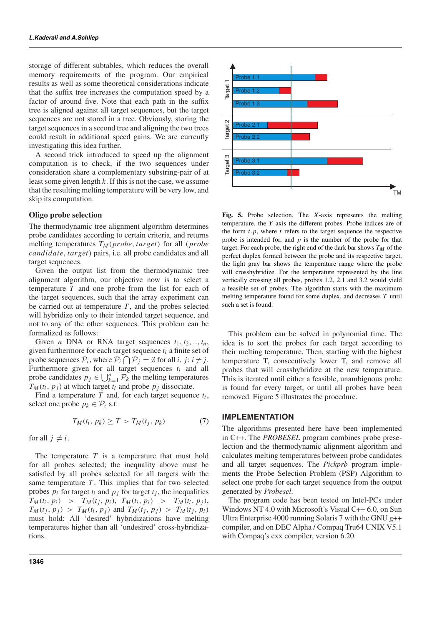storage of different subtables, which reduces the overall memory requirements of the program. Our empirical results as well as some theoretical considerations indicate that the suffix tree increases the computation speed by a factor of around five. Note that each path in the suffix tree is aligned against all target sequences, but the target sequences are not stored in a tree. Obviously, storing the target sequences in a second tree and aligning the two trees could result in additional speed gains. We are currently investigating this idea further.

A second trick introduced to speed up the alignment computation is to check, if the two sequences under consideration share a complementary substring-pair of at least some given length *k*. If this is not the case, we assume that the resulting melting temperature will be very low, and skip its computation.

#### **Oligo probe selection**

The thermodynamic tree alignment algorithm determines probe candidates according to certain criteria, and returns melting temperatures *TM* (*probe*, *target*) for all (*probe candidate*, *target*) pairs, i.e. all probe candidates and all target sequences.

Given the output list from the thermodynamic tree alignment algorithm, our objective now is to select a temperature *T* and one probe from the list for each of the target sequences, such that the array experiment can be carried out at temperature *T* , and the probes selected will hybridize only to their intended target sequence, and not to any of the other sequences. This problem can be formalized as follows:

Given *n* DNA or RNA target sequences  $t_1, t_2, ..., t_n$ , given furthermore for each target sequence *ti* a finite set of probe sequences  $\mathcal{P}_i$ , where  $\mathcal{P}_i \cap \mathcal{P}_j = \emptyset$  for all *i*, *j*;  $i \neq j$ . Furthermore given for all target sequences  $t_i$  and all probe candidates  $p_j \in \bigcup_{k=1}^n \mathcal{P}_k$  the melting temperatures  $T_M(t_i, p_i)$  at which target  $t_i$  and probe  $p_i$  dissociate.

Find a temperature  $T$  and, for each target sequence  $t_i$ , select one probe  $p_k \in \mathcal{P}_i$  s.t.

$$
T_M(t_i, p_k) \geq T > T_M(t_j, p_k)
$$
\n<sup>(7)</sup>

for all  $j \neq i$ .

The temperature *T* is a temperature that must hold for all probes selected; the inequality above must be satisfied by all probes selected for all targets with the same temperature  $T$ . This implies that for two selected probes  $p_i$  for target  $t_i$  and  $p_j$  for target  $t_j$ , the inequalities  $T_M(t_i, p_i)$  >  $T_M(t_i, p_i), T_M(t_i, p_i)$  >  $T_M(t_i, p_j),$  $T_M(t_i, p_i) > T_M(t_i, p_i)$  and  $T_M(t_i, p_i) > T_M(t_i, p_i)$ must hold: All 'desired' hybridizations have melting temperatures higher than all 'undesired' cross-hybridizations.



**Fig. 5.** Probe selection. The *X*-axis represents the melting temperature, the *Y* -axis the different probes. Probe indices are of the form  $t$ .*p*, where  $t$  refers to the target sequence the respective probe is intended for, and *p* is the number of the probe for that target. For each probe, the right end of the dark bar shows  $T_M$  of the perfect duplex formed between the probe and its respective target, the light gray bar shows the temperature range where the probe will crosshybridize. For the temperature represented by the line vertically crossing all probes, probes 1.2, 2.1 and 3.2 would yield a feasible set of probes. The algorithm starts with the maximum melting temperature found for some duplex, and decreases *T* until such a set is found.

This problem can be solved in polynomial time. The idea is to sort the probes for each target according to their melting temperature. Then, starting with the highest temperature T, consecutively lower T, and remove all probes that will crosshybridize at the new temperature. This is iterated until either a feasible, unambiguous probe is found for every target, or until all probes have been removed. Figure 5 illustrates the procedure.

#### **IMPLEMENTATION**

The algorithms presented here have been implemented in C++. The *PROBESEL* program combines probe preselection and the thermodynamic alignment algorithm and calculates melting temperatures between probe candidates and all target sequences. The *Pickprb* program implements the Probe Selection Problem (PSP) Algorithm to select one probe for each target sequence from the output generated by *Probesel*.

The program code has been tested on Intel-PCs under Windows NT 4.0 with Microsoft's Visual C++ 6.0, on Sun Ultra Enterprise 4000 running Solaris 7 with the GNU g++ compiler, and on DEC Alpha / Compaq Tru64 UNIX V5.1 with Compaq's cxx compiler, version 6.20.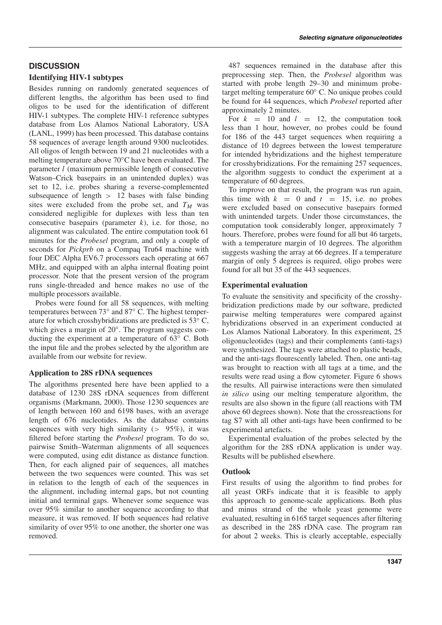# **DISCUSSION**

# **Identifying HIV-1 subtypes**

Besides running on randomly generated sequences of different lengths, the algorithm has been used to find oligos to be used for the identification of different HIV-1 subtypes. The complete HIV-1 reference subtypes database from Los Alamos National Laboratory, USA (LANL, 1999) has been processed. This database contains 58 sequences of average length around 9300 nucleotides. All oligos of length between 19 and 21 nucleotides with a melting temperature above 70◦C have been evaluated. The parameter *l* (maximum permissible length of consecutive Watson–Crick basepairs in an unintended duplex) was set to 12, i.e. probes sharing a reverse-complemented subsequence of length  $> 12$  bases with false binding sites were excluded from the probe set, and  $T_M$  was considered negligible for duplexes with less than ten consecutive basepairs (parameter  $k$ ), i.e. for those, no alignment was calculated. The entire computation took 61 minutes for the *Probesel* program, and only a couple of seconds for *Pickprb* on a Compaq Tru64 machine with four DEC Alpha EV6.7 processors each operating at 667 MHz, and equipped with an alpha internal floating point processor. Note that the present version of the program runs single-threaded and hence makes no use of the multiple processors available.

Probes were found for all 58 sequences, with melting temperatures between 73◦ and 87◦ C. The highest temperature for which crosshybridizations are predicted is 53◦ C, which gives a margin of 20◦. The program suggests conducting the experiment at a temperature of 63◦ C. Both the input file and the probes selected by the algorithm are available from our website for review.

# **Application to 28S rDNA sequences**

The algorithms presented here have been applied to a database of 1230 28S rDNA sequences from different organisms (Markmann, 2000). Those 1230 sequences are of length between 160 and 6198 bases, with an average length of 676 nucleotides. As the database contains sequences with very high similarity  $(> 95\%)$ , it was filtered before starting the *Probesel* program. To do so, pairwise Smith–Waterman alignments of all sequences were computed, using edit distance as distance function. Then, for each aligned pair of sequences, all matches between the two sequences were counted. This was set in relation to the length of each of the sequences in the alignment, including internal gaps, but not counting initial and terminal gaps. Whenever some sequence was over 95% similar to another sequence according to that measure, it was removed. If both sequences had relative similarity of over 95% to one another, the shorter one was removed.

487 sequences remained in the database after this preprocessing step. Then, the *Probesel* algorithm was started with probe length 29–30 and minimum probetarget melting temperature 60◦ C. No unique probes could be found for 44 sequences, which *Probesel* reported after approximately 2 minutes.

For  $k = 10$  and  $l = 12$ , the computation took less than 1 hour, however, no probes could be found for 186 of the 443 target sequences when requiring a distance of 10 degrees between the lowest temperature for intended hybridizations and the highest temperature for crosshybridizations. For the remaining 257 sequences, the algorithm suggests to conduct the experiment at a temperature of 60 degrees.

To improve on that result, the program was run again, this time with  $k = 0$  and  $t = 15$ , i.e. no probes were excluded based on consecutive basepairs formed with unintended targets. Under those circumstances, the computation took considerably longer, approximately 7 hours. Therefore, probes were found for all but 46 targets, with a temperature margin of 10 degrees. The algorithm suggests washing the array at 66 degrees. If a temperature margin of only 5 degrees is required, oligo probes were found for all but 35 of the 443 sequences.

## **Experimental evaluation**

To evaluate the sensitivity and specificity of the crosshybridization predictions made by our software, predicted pairwise melting temperatures were compared against hybridizations observed in an experiment conducted at Los Alamos National Laboratory. In this experiment, 25 oligonucleotides (tags) and their complements (anti-tags) were synthesized. The tags were attached to plastic beads, and the anti-tags flourescently labeled. Then, one anti-tag was brought to reaction with all tags at a time, and the results were read using a flow cytometer. Figure 6 shows the results. All pairwise interactions were then simulated *in silico* using our melting temperature algorithm, the results are also shown in the figure (all reactions with TM above 60 degrees shown). Note that the crossreactions for tag S7 with all other anti-tags have been confirmed to be experimental artefacts.

Experimental evaluation of the probes selected by the algorithm for the 28S rDNA application is under way. Results will be published elsewhere.

## **Outlook**

First results of using the algorithm to find probes for all yeast ORFs indicate that it is feasible to apply this approach to genome-scale applications. Both plus and minus strand of the whole yeast genome were evaluated, resulting in 6165 target sequences after filtering as described in the 28S rDNA case. The program ran for about 2 weeks. This is clearly acceptable, especially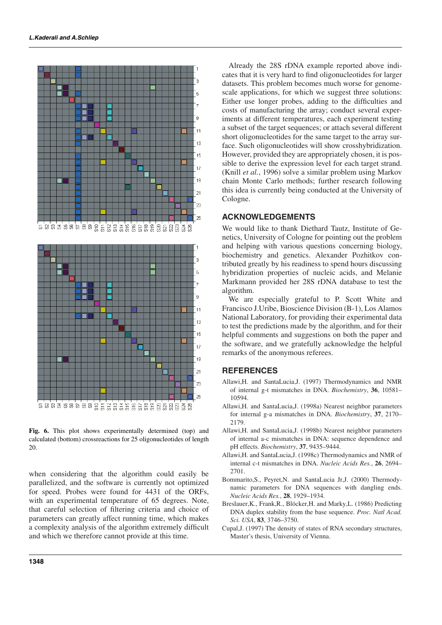

**Fig. 6.** This plot shows experimentally determined (top) and calculated (bottom) crossreactions for 25 oligonucleotides of length 20.

when considering that the algorithm could easily be parallelized, and the software is currently not optimized for speed. Probes were found for 4431 of the ORFs, with an experimental temperature of 65 degrees. Note, that careful selection of filtering criteria and choice of parameters can greatly affect running time, which makes a complexity analysis of the algorithm extremely difficult and which we therefore cannot provide at this time.

Already the 28S rDNA example reported above indicates that it is very hard to find oligonucleotides for larger datasets. This problem becomes much worse for genomescale applications, for which we suggest three solutions: Either use longer probes, adding to the difficulties and costs of manufacturing the array; conduct several experiments at different temperatures, each experiment testing a subset of the target sequences; or attach several different short oligonucleotides for the same target to the array surface. Such oligonucleotides will show crosshybridization. However, provided they are appropriately chosen, it is possible to derive the expression level for each target strand. (Knill *et al.*, 1996) solve a similar problem using Markov chain Monte Carlo methods; further research following this idea is currently being conducted at the University of Cologne.

## **ACKNOWLEDGEMENTS**

We would like to thank Diethard Tautz, Institute of Genetics, University of Cologne for pointing out the problem and helping with various questions concerning biology, biochemistry and genetics. Alexander Pozhitkov contributed greatly by his readiness to spend hours discussing hybridization properties of nucleic acids, and Melanie Markmann provided her 28S rDNA database to test the algorithm.

We are especially grateful to P. Scott White and Francisco J.Uribe, Bioscience Division (B-1), Los Alamos National Laboratory, for providing their experimental data to test the predictions made by the algorithm, and for their helpful comments and suggestions on both the paper and the software, and we gratefully acknowledge the helpful remarks of the anonymous referees.

## **REFERENCES**

- Allawi,H. and SantaLucia,J. (1997) Thermodynamics and NMR of internal g-t mismatches in DNA. *Biochemistry*, **36**, 10581– 10594.
- Allawi,H. and SantaLucia,J. (1998a) Nearest neighbor parameters for internal g-a mismatches in DNA. *Biochemistry*, **37**, 2170– 2179.
- Allawi,H. and SantaLucia,J. (1998b) Nearest neighbor parameters of internal a-c mismatches in DNA: sequence dependence and pH effects. *Biochemistry*, **37**, 9435–9444.
- Allawi,H. and SantaLucia,J. (1998c) Thermodynamics and NMR of internal c-t mismatches in DNA. *Nucleic Acids Res.*, **26**, 2694– 2701.
- Bommarito,S., Peyret,N. and SantaLucia Jr,J. (2000) Thermodynamic parameters for DNA sequences with dangling ends. *Nucleic Acids Res.*, **28**, 1929–1934.
- Breslauer, K., Frank, R., Blöcker, H. and Marky, L. (1986) Predicting DNA duplex stability from the base sequence. *Proc. Natl Acad. Sci. USA*, **83**, 3746–3750.
- Cupal,J. (1997) The density of states of RNA secondary structures, Master's thesis, University of Vienna.